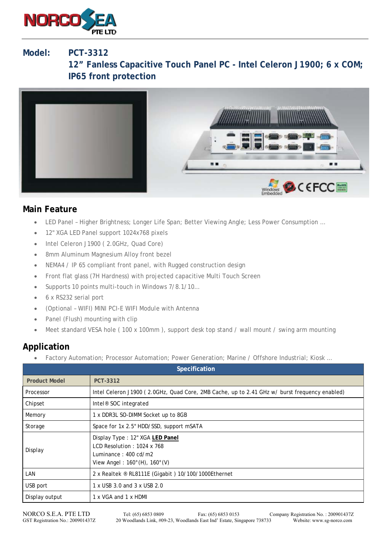

## **Model: PCT-3312**

**12" Fanless Capacitive Touch Panel PC - Intel Celeron J1900; 6 x COM; IP65 front protection** 



## **Main Feature**

- LED Panel Higher Brightness; Longer Life Span; Better Viewing Angle; Less Power Consumption …
- 12" XGA LED Panel support 1024x768 pixels
- Intel Celeron J1900 ( 2.0GHz, Quad Core)
- 8mm Aluminum Magnesium Alloy front bezel
- NEMA4 / IP 65 compliant front panel, with Rugged construction design
- Front flat glass (7H Hardness) with projected capacitive Multi Touch Screen
- Supports 10 points multi-touch in Windows 7/8.1/10…
- 6 x RS232 serial port
- (Optional WIFI) MINI PCI-E WIFI Module with Antenna
- Panel (Flush) mounting with clip
- Meet standard VESA hole (100 x 100mm), support desk top stand / wall mount / swing arm mounting

## **Application**

Factory Automation; Processor Automation; Power Generation; Marine / Offshore Industrial; Kiosk …

| Specification        |                                                                                                                                                            |
|----------------------|------------------------------------------------------------------------------------------------------------------------------------------------------------|
| <b>Product Model</b> | <b>PCT-3312</b>                                                                                                                                            |
| Processor            | Intel Celeron J1900 (2.0GHz, Quad Core, 2MB Cache, up to 2.41 GHz w/ burst frequency enabled)                                                              |
| Chipset              | Intel <sup>®</sup> SOC integrated                                                                                                                          |
| Memory               | 1 x DDR3L SO-DIMM Socket up to 8GB                                                                                                                         |
| Storage              | Space for 1x 2.5" HDD/SSD, support mSATA                                                                                                                   |
| Display              | Display Type: 12" XGA LED Panel<br>LCD Resolution: $1024 \times 768$<br>Luminance: $400 \text{ cd/m2}$<br>View Angel: $160^{\circ}$ (H), $160^{\circ}$ (V) |
| LAN                  | 2 x Realtek ® RL8111E (Gigabit) 10/100/1000Ethernet                                                                                                        |
| USB port             | 1 x USB 3.0 and 3 x USB 2.0                                                                                                                                |
| Display output       | 1 x VGA and 1 x HDMI                                                                                                                                       |